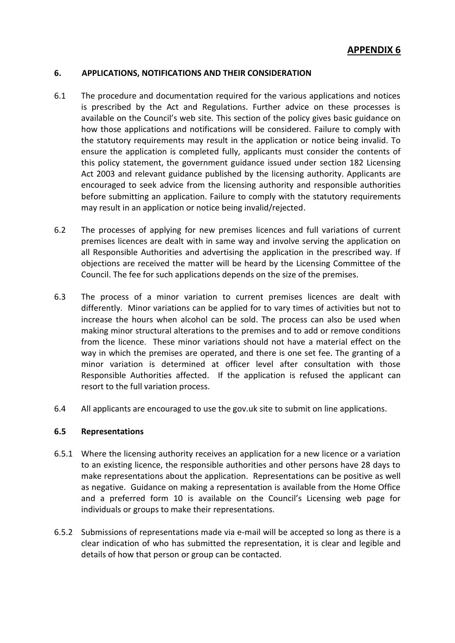### **6. APPLICATIONS, NOTIFICATIONS AND THEIR CONSIDERATION**

- 6.1 The procedure and documentation required for the various applications and notices is prescribed by the Act and Regulations. Further advice on these processes is available on the Council's web site*.* This section of the policy gives basic guidance on how those applications and notifications will be considered. Failure to comply with the statutory requirements may result in the application or notice being invalid. To ensure the application is completed fully, applicants must consider the contents of this policy statement, the government guidance issued under section 182 Licensing Act 2003 and relevant guidance published by the licensing authority. Applicants are encouraged to seek advice from the licensing authority and responsible authorities before submitting an application. Failure to comply with the statutory requirements may result in an application or notice being invalid/rejected.
- 6.2 The processes of applying for new premises licences and full variations of current premises licences are dealt with in same way and involve serving the application on all Responsible Authorities and advertising the application in the prescribed way. If objections are received the matter will be heard by the Licensing Committee of the Council. The fee for such applications depends on the size of the premises.
- 6.3 The process of a minor variation to current premises licences are dealt with differently. Minor variations can be applied for to vary times of activities but not to increase the hours when alcohol can be sold. The process can also be used when making minor structural alterations to the premises and to add or remove conditions from the licence. These minor variations should not have a material effect on the way in which the premises are operated, and there is one set fee. The granting of a minor variation is determined at officer level after consultation with those Responsible Authorities affected. If the application is refused the applicant can resort to the full variation process.
- 6.4 All applicants are encouraged to use the gov.uk site to submit on line applications.

# **6.5 Representations**

- 6.5.1 Where the licensing authority receives an application for a new licence or a variation to an existing licence, the responsible authorities and other persons have 28 days to make representations about the application. Representations can be positive as well as negative. Guidance on making a representation is available from the Home Office and a preferred form 10 is available on the Council's Licensing web page for individuals or groups to make their representations.
- 6.5.2 Submissions of representations made via e-mail will be accepted so long as there is a clear indication of who has submitted the representation, it is clear and legible and details of how that person or group can be contacted.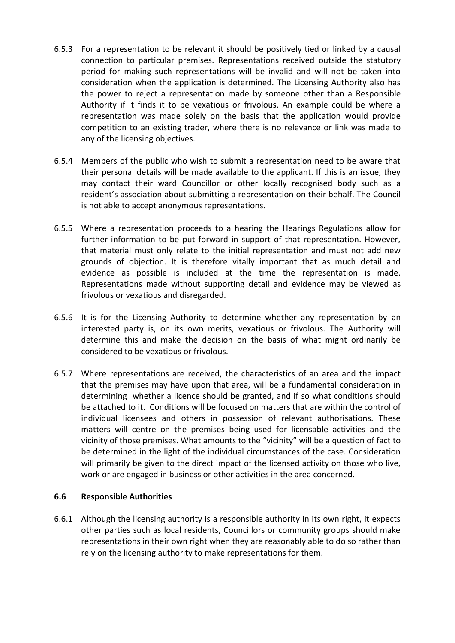- 6.5.3 For a representation to be relevant it should be positively tied or linked by a causal connection to particular premises. Representations received outside the statutory period for making such representations will be invalid and will not be taken into consideration when the application is determined. The Licensing Authority also has the power to reject a representation made by someone other than a Responsible Authority if it finds it to be vexatious or frivolous. An example could be where a representation was made solely on the basis that the application would provide competition to an existing trader, where there is no relevance or link was made to any of the licensing objectives.
- 6.5.4 Members of the public who wish to submit a representation need to be aware that their personal details will be made available to the applicant. If this is an issue, they may contact their ward Councillor or other locally recognised body such as a resident's association about submitting a representation on their behalf. The Council is not able to accept anonymous representations.
- 6.5.5 Where a representation proceeds to a hearing the Hearings Regulations allow for further information to be put forward in support of that representation. However, that material must only relate to the initial representation and must not add new grounds of objection. It is therefore vitally important that as much detail and evidence as possible is included at the time the representation is made. Representations made without supporting detail and evidence may be viewed as frivolous or vexatious and disregarded.
- 6.5.6 It is for the Licensing Authority to determine whether any representation by an interested party is, on its own merits, vexatious or frivolous. The Authority will determine this and make the decision on the basis of what might ordinarily be considered to be vexatious or frivolous.
- 6.5.7 Where representations are received, the characteristics of an area and the impact that the premises may have upon that area, will be a fundamental consideration in determining whether a licence should be granted, and if so what conditions should be attached to it. Conditions will be focused on matters that are within the control of individual licensees and others in possession of relevant authorisations. These matters will centre on the premises being used for licensable activities and the vicinity of those premises. What amounts to the "vicinity" will be a question of fact to be determined in the light of the individual circumstances of the case. Consideration will primarily be given to the direct impact of the licensed activity on those who live, work or are engaged in business or other activities in the area concerned.

### **6.6 Responsible Authorities**

6.6.1 Although the licensing authority is a responsible authority in its own right, it expects other parties such as local residents, Councillors or community groups should make representations in their own right when they are reasonably able to do so rather than rely on the licensing authority to make representations for them.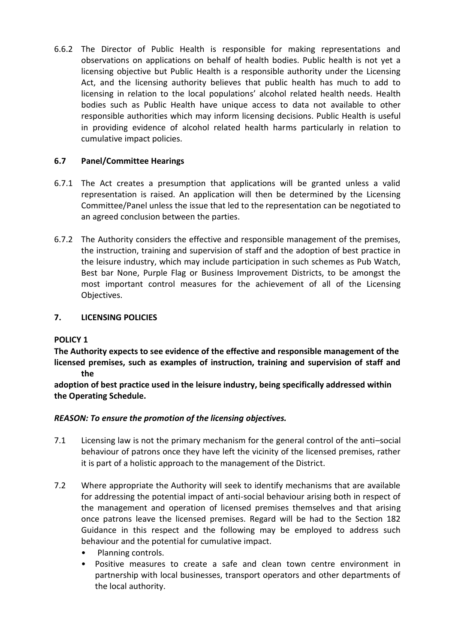6.6.2 The Director of Public Health is responsible for making representations and observations on applications on behalf of health bodies. Public health is not yet a licensing objective but Public Health is a responsible authority under the Licensing Act, and the licensing authority believes that public health has much to add to licensing in relation to the local populations' alcohol related health needs. Health bodies such as Public Health have unique access to data not available to other responsible authorities which may inform licensing decisions. Public Health is useful in providing evidence of alcohol related health harms particularly in relation to cumulative impact policies.

# **6.7 Panel/Committee Hearings**

- 6.7.1 The Act creates a presumption that applications will be granted unless a valid representation is raised. An application will then be determined by the Licensing Committee/Panel unless the issue that led to the representation can be negotiated to an agreed conclusion between the parties.
- 6.7.2 The Authority considers the effective and responsible management of the premises, the instruction, training and supervision of staff and the adoption of best practice in the leisure industry, which may include participation in such schemes as Pub Watch, Best bar None, Purple Flag or Business Improvement Districts, to be amongst the most important control measures for the achievement of all of the Licensing Objectives.

# **7. LICENSING POLICIES**

# **POLICY 1**

**The Authority expects to see evidence of the effective and responsible management of the licensed premises, such as examples of instruction, training and supervision of staff and the**

**adoption of best practice used in the leisure industry, being specifically addressed within the Operating Schedule.**

# *REASON: To ensure the promotion of the licensing objectives.*

- 7.1 Licensing law is not the primary mechanism for the general control of the anti–social behaviour of patrons once they have left the vicinity of the licensed premises, rather it is part of a holistic approach to the management of the District.
- 7.2 Where appropriate the Authority will seek to identify mechanisms that are available for addressing the potential impact of anti-social behaviour arising both in respect of the management and operation of licensed premises themselves and that arising once patrons leave the licensed premises. Regard will be had to the Section 182 Guidance in this respect and the following may be employed to address such behaviour and the potential for cumulative impact.
	- Planning controls.
	- Positive measures to create a safe and clean town centre environment in partnership with local businesses, transport operators and other departments of the local authority.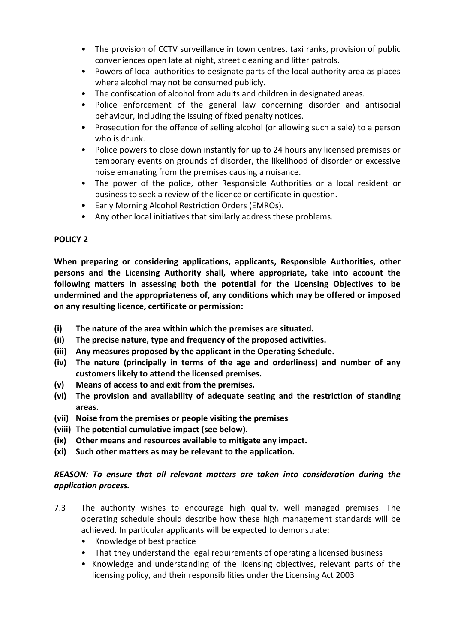- The provision of CCTV surveillance in town centres, taxi ranks, provision of public conveniences open late at night, street cleaning and litter patrols.
- Powers of local authorities to designate parts of the local authority area as places where alcohol may not be consumed publicly.
- The confiscation of alcohol from adults and children in designated areas.
- Police enforcement of the general law concerning disorder and antisocial behaviour, including the issuing of fixed penalty notices.
- Prosecution for the offence of selling alcohol (or allowing such a sale) to a person who is drunk.
- Police powers to close down instantly for up to 24 hours any licensed premises or temporary events on grounds of disorder, the likelihood of disorder or excessive noise emanating from the premises causing a nuisance.
- The power of the police, other Responsible Authorities or a local resident or business to seek a review of the licence or certificate in question.
- Early Morning Alcohol Restriction Orders (EMROs).
- Any other local initiatives that similarly address these problems.

# **POLICY 2**

**When preparing or considering applications, applicants, Responsible Authorities, other persons and the Licensing Authority shall, where appropriate, take into account the following matters in assessing both the potential for the Licensing Objectives to be undermined and the appropriateness of, any conditions which may be offered or imposed on any resulting licence, certificate or permission:**

- **(i) The nature of the area within which the premises are situated.**
- **(ii) The precise nature, type and frequency of the proposed activities.**
- **(iii) Any measures proposed by the applicant in the Operating Schedule.**
- **(iv) The nature (principally in terms of the age and orderliness) and number of any customers likely to attend the licensed premises.**
- **(v) Means of access to and exit from the premises.**
- **(vi) The provision and availability of adequate seating and the restriction of standing areas.**
- **(vii) Noise from the premises or people visiting the premises**
- **(viii) The potential cumulative impact (see below).**
- **(ix) Other means and resources available to mitigate any impact.**
- **(xi) Such other matters as may be relevant to the application.**

# *REASON: To ensure that all relevant matters are taken into consideration during the application process.*

- 7.3 The authority wishes to encourage high quality, well managed premises. The operating schedule should describe how these high management standards will be achieved. In particular applicants will be expected to demonstrate:
	- Knowledge of best practice
	- That they understand the legal requirements of operating a licensed business
	- Knowledge and understanding of the licensing objectives, relevant parts of the licensing policy, and their responsibilities under the Licensing Act 2003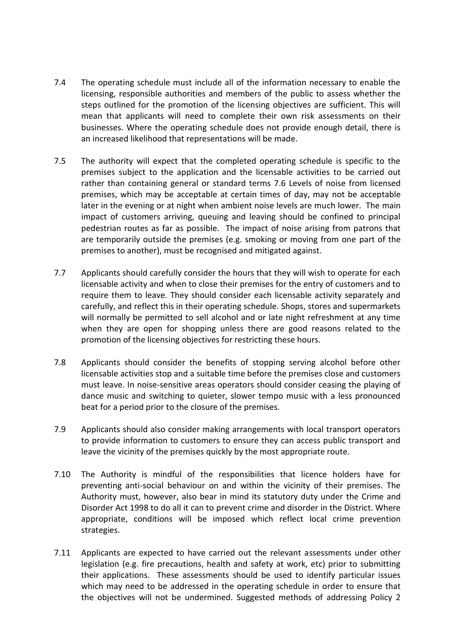- 7.4 The operating schedule must include all of the information necessary to enable the licensing, responsible authorities and members of the public to assess whether the steps outlined for the promotion of the licensing objectives are sufficient. This will mean that applicants will need to complete their own risk assessments on their businesses. Where the operating schedule does not provide enough detail, there is an increased likelihood that representations will be made.
- 7.5 The authority will expect that the completed operating schedule is specific to the premises subject to the application and the licensable activities to be carried out rather than containing general or standard terms 7.6 Levels of noise from licensed premises, which may be acceptable at certain times of day, may not be acceptable later in the evening or at night when ambient noise levels are much lower. The main impact of customers arriving, queuing and leaving should be confined to principal pedestrian routes as far as possible. The impact of noise arising from patrons that are temporarily outside the premises (e.g. smoking or moving from one part of the premises to another), must be recognised and mitigated against.
- 7.7 Applicants should carefully consider the hours that they will wish to operate for each licensable activity and when to close their premises for the entry of customers and to require them to leave. They should consider each licensable activity separately and carefully, and reflect this in their operating schedule. Shops, stores and supermarkets will normally be permitted to sell alcohol and or late night refreshment at any time when they are open for shopping unless there are good reasons related to the promotion of the licensing objectives for restricting these hours.
- 7.8 Applicants should consider the benefits of stopping serving alcohol before other licensable activities stop and a suitable time before the premises close and customers must leave. In noise-sensitive areas operators should consider ceasing the playing of dance music and switching to quieter, slower tempo music with a less pronounced beat for a period prior to the closure of the premises.
- 7.9 Applicants should also consider making arrangements with local transport operators to provide information to customers to ensure they can access public transport and leave the vicinity of the premises quickly by the most appropriate route.
- 7.10 The Authority is mindful of the responsibilities that licence holders have for preventing anti-social behaviour on and within the vicinity of their premises. The Authority must, however, also bear in mind its statutory duty under the Crime and Disorder Act 1998 to do all it can to prevent crime and disorder in the District. Where appropriate, conditions will be imposed which reflect local crime prevention strategies.
- 7.11 Applicants are expected to have carried out the relevant assessments under other legislation (e.g. fire precautions, health and safety at work, etc) prior to submitting their applications. These assessments should be used to identify particular issues which may need to be addressed in the operating schedule in order to ensure that the objectives will not be undermined. Suggested methods of addressing Policy 2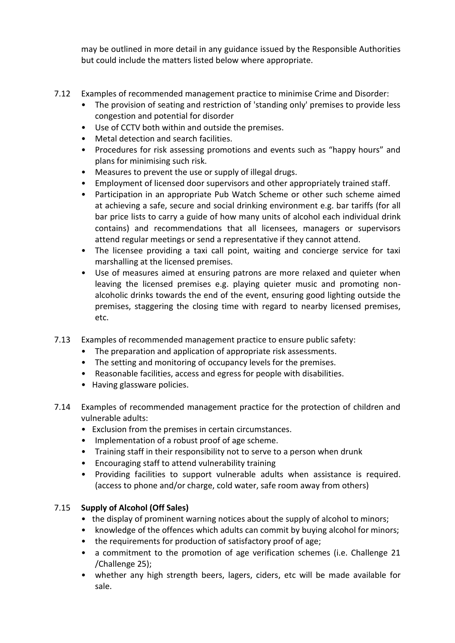may be outlined in more detail in any guidance issued by the Responsible Authorities but could include the matters listed below where appropriate.

- 7.12 Examples of recommended management practice to minimise Crime and Disorder:
	- The provision of seating and restriction of 'standing only' premises to provide less congestion and potential for disorder
	- Use of CCTV both within and outside the premises.
	- Metal detection and search facilities.
	- Procedures for risk assessing promotions and events such as "happy hours" and plans for minimising such risk.
	- Measures to prevent the use or supply of illegal drugs.
	- Employment of licensed door supervisors and other appropriately trained staff.
	- Participation in an appropriate Pub Watch Scheme or other such scheme aimed at achieving a safe, secure and social drinking environment e.g. bar tariffs (for all bar price lists to carry a guide of how many units of alcohol each individual drink contains) and recommendations that all licensees, managers or supervisors attend regular meetings or send a representative if they cannot attend.
	- The licensee providing a taxi call point, waiting and concierge service for taxi marshalling at the licensed premises.
	- Use of measures aimed at ensuring patrons are more relaxed and quieter when leaving the licensed premises e.g. playing quieter music and promoting nonalcoholic drinks towards the end of the event, ensuring good lighting outside the premises, staggering the closing time with regard to nearby licensed premises, etc.
- 7.13 Examples of recommended management practice to ensure public safety:
	- The preparation and application of appropriate risk assessments.
	- The setting and monitoring of occupancy levels for the premises.
	- Reasonable facilities, access and egress for people with disabilities.
	- Having glassware policies.
- 7.14 Examples of recommended management practice for the protection of children and vulnerable adults:
	- Exclusion from the premises in certain circumstances.
	- Implementation of a robust proof of age scheme.
	- Training staff in their responsibility not to serve to a person when drunk
	- Encouraging staff to attend vulnerability training
	- Providing facilities to support vulnerable adults when assistance is required. (access to phone and/or charge, cold water, safe room away from others)

# 7.15 **Supply of Alcohol (Off Sales)**

- the display of prominent warning notices about the supply of alcohol to minors;
- knowledge of the offences which adults can commit by buying alcohol for minors;
- the requirements for production of satisfactory proof of age;
- a commitment to the promotion of age verification schemes (i.e. Challenge 21 /Challenge 25);
- whether any high strength beers, lagers, ciders, etc will be made available for sale.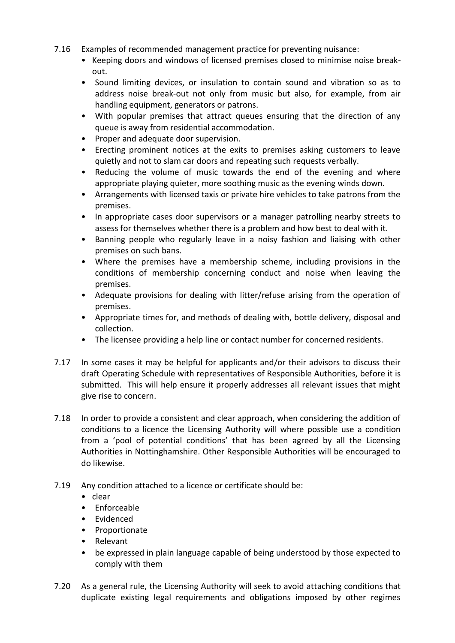- 7.16 Examples of recommended management practice for preventing nuisance:
	- Keeping doors and windows of licensed premises closed to minimise noise breakout.
	- Sound limiting devices, or insulation to contain sound and vibration so as to address noise break-out not only from music but also, for example, from air handling equipment, generators or patrons.
	- With popular premises that attract queues ensuring that the direction of any queue is away from residential accommodation.
	- Proper and adequate door supervision.
	- Erecting prominent notices at the exits to premises asking customers to leave quietly and not to slam car doors and repeating such requests verbally.
	- Reducing the volume of music towards the end of the evening and where appropriate playing quieter, more soothing music as the evening winds down.
	- Arrangements with licensed taxis or private hire vehicles to take patrons from the premises.
	- In appropriate cases door supervisors or a manager patrolling nearby streets to assess for themselves whether there is a problem and how best to deal with it.
	- Banning people who regularly leave in a noisy fashion and liaising with other premises on such bans.
	- Where the premises have a membership scheme, including provisions in the conditions of membership concerning conduct and noise when leaving the premises.
	- Adequate provisions for dealing with litter/refuse arising from the operation of premises.
	- Appropriate times for, and methods of dealing with, bottle delivery, disposal and collection.
	- The licensee providing a help line or contact number for concerned residents.
- 7.17 In some cases it may be helpful for applicants and/or their advisors to discuss their draft Operating Schedule with representatives of Responsible Authorities, before it is submitted. This will help ensure it properly addresses all relevant issues that might give rise to concern.
- 7.18 In order to provide a consistent and clear approach, when considering the addition of conditions to a licence the Licensing Authority will where possible use a condition from a 'pool of potential conditions' that has been agreed by all the Licensing Authorities in Nottinghamshire. Other Responsible Authorities will be encouraged to do likewise.
- 7.19 Any condition attached to a licence or certificate should be:
	- clear
	- Enforceable
	- Evidenced
	- Proportionate
	- Relevant
	- be expressed in plain language capable of being understood by those expected to comply with them
- 7.20 As a general rule, the Licensing Authority will seek to avoid attaching conditions that duplicate existing legal requirements and obligations imposed by other regimes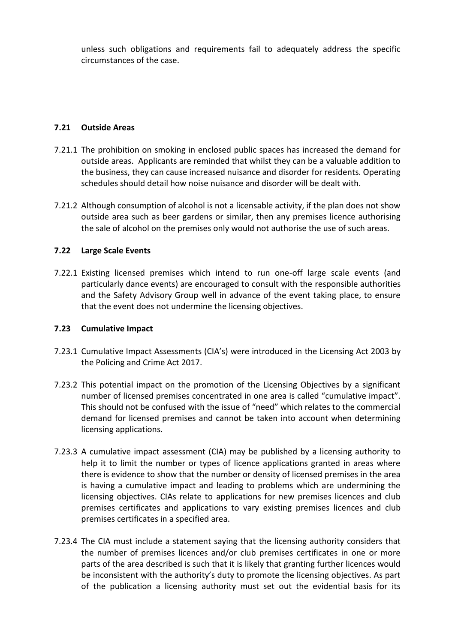unless such obligations and requirements fail to adequately address the specific circumstances of the case.

### **7.21 Outside Areas**

- 7.21.1 The prohibition on smoking in enclosed public spaces has increased the demand for outside areas. Applicants are reminded that whilst they can be a valuable addition to the business, they can cause increased nuisance and disorder for residents. Operating schedules should detail how noise nuisance and disorder will be dealt with.
- 7.21.2 Although consumption of alcohol is not a licensable activity, if the plan does not show outside area such as beer gardens or similar, then any premises licence authorising the sale of alcohol on the premises only would not authorise the use of such areas.

### **7.22 Large Scale Events**

7.22.1 Existing licensed premises which intend to run one-off large scale events (and particularly dance events) are encouraged to consult with the responsible authorities and the Safety Advisory Group well in advance of the event taking place, to ensure that the event does not undermine the licensing objectives.

### **7.23 Cumulative Impact**

- 7.23.1 Cumulative Impact Assessments (CIA's) were introduced in the Licensing Act 2003 by the Policing and Crime Act 2017.
- 7.23.2 This potential impact on the promotion of the Licensing Objectives by a significant number of licensed premises concentrated in one area is called "cumulative impact". This should not be confused with the issue of "need" which relates to the commercial demand for licensed premises and cannot be taken into account when determining licensing applications.
- 7.23.3 A cumulative impact assessment (CIA) may be published by a licensing authority to help it to limit the number or types of licence applications granted in areas where there is evidence to show that the number or density of licensed premises in the area is having a cumulative impact and leading to problems which are undermining the licensing objectives. CIAs relate to applications for new premises licences and club premises certificates and applications to vary existing premises licences and club premises certificates in a specified area.
- 7.23.4 The CIA must include a statement saying that the licensing authority considers that the number of premises licences and/or club premises certificates in one or more parts of the area described is such that it is likely that granting further licences would be inconsistent with the authority's duty to promote the licensing objectives. As part of the publication a licensing authority must set out the evidential basis for its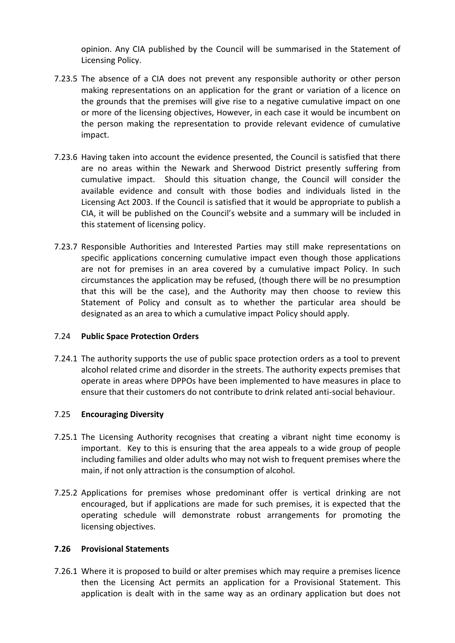opinion. Any CIA published by the Council will be summarised in the Statement of Licensing Policy.

- 7.23.5 The absence of a CIA does not prevent any responsible authority or other person making representations on an application for the grant or variation of a licence on the grounds that the premises will give rise to a negative cumulative impact on one or more of the licensing objectives, However, in each case it would be incumbent on the person making the representation to provide relevant evidence of cumulative impact.
- 7.23.6 Having taken into account the evidence presented, the Council is satisfied that there are no areas within the Newark and Sherwood District presently suffering from cumulative impact. Should this situation change, the Council will consider the available evidence and consult with those bodies and individuals listed in the Licensing Act 2003. If the Council is satisfied that it would be appropriate to publish a CIA, it will be published on the Council's website and a summary will be included in this statement of licensing policy.
- 7.23.7 Responsible Authorities and Interested Parties may still make representations on specific applications concerning cumulative impact even though those applications are not for premises in an area covered by a cumulative impact Policy. In such circumstances the application may be refused, (though there will be no presumption that this will be the case), and the Authority may then choose to review this Statement of Policy and consult as to whether the particular area should be designated as an area to which a cumulative impact Policy should apply.

### 7.24 **Public Space Protection Orders**

7.24.1 The authority supports the use of public space protection orders as a tool to prevent alcohol related crime and disorder in the streets. The authority expects premises that operate in areas where DPPOs have been implemented to have measures in place to ensure that their customers do not contribute to drink related anti-social behaviour.

### 7.25 **Encouraging Diversity**

- 7.25.1 The Licensing Authority recognises that creating a vibrant night time economy is important. Key to this is ensuring that the area appeals to a wide group of people including families and older adults who may not wish to frequent premises where the main, if not only attraction is the consumption of alcohol.
- 7.25.2 Applications for premises whose predominant offer is vertical drinking are not encouraged, but if applications are made for such premises, it is expected that the operating schedule will demonstrate robust arrangements for promoting the licensing objectives.

#### **7.26 Provisional Statements**

7.26.1 Where it is proposed to build or alter premises which may require a premises licence then the Licensing Act permits an application for a Provisional Statement. This application is dealt with in the same way as an ordinary application but does not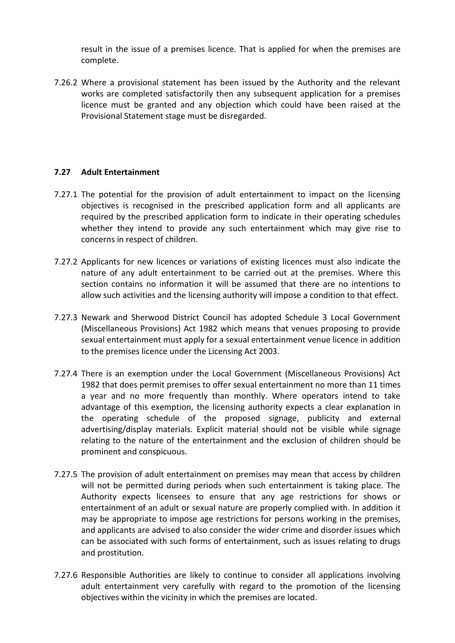result in the issue of a premises licence. That is applied for when the premises are complete.

7.26.2 Where a provisional statement has been issued by the Authority and the relevant works are completed satisfactorily then any subsequent application for a premises licence must be granted and any objection which could have been raised at the Provisional Statement stage must be disregarded.

### **7.27 Adult Entertainment**

- 7.27.1 The potential for the provision of adult entertainment to impact on the licensing objectives is recognised in the prescribed application form and all applicants are required by the prescribed application form to indicate in their operating schedules whether they intend to provide any such entertainment which may give rise to concerns in respect of children.
- 7.27.2 Applicants for new licences or variations of existing licences must also indicate the nature of any adult entertainment to be carried out at the premises. Where this section contains no information it will be assumed that there are no intentions to allow such activities and the licensing authority will impose a condition to that effect.
- 7.27.3 Newark and Sherwood District Council has adopted Schedule 3 Local Government (Miscellaneous Provisions) Act 1982 which means that venues proposing to provide sexual entertainment must apply for a sexual entertainment venue licence in addition to the premises licence under the Licensing Act 2003.
- 7.27.4 There is an exemption under the Local Government (Miscellaneous Provisions) Act 1982 that does permit premises to offer sexual entertainment no more than 11 times a year and no more frequently than monthly. Where operators intend to take advantage of this exemption, the licensing authority expects a clear explanation in the operating schedule of the proposed signage, publicity and external advertising/display materials. Explicit material should not be visible while signage relating to the nature of the entertainment and the exclusion of children should be prominent and conspicuous.
- 7.27.5 The provision of adult entertainment on premises may mean that access by children will not be permitted during periods when such entertainment is taking place. The Authority expects licensees to ensure that any age restrictions for shows or entertainment of an adult or sexual nature are properly complied with. In addition it may be appropriate to impose age restrictions for persons working in the premises, and applicants are advised to also consider the wider crime and disorder issues which can be associated with such forms of entertainment, such as issues relating to drugs and prostitution.
- 7.27.6 Responsible Authorities are likely to continue to consider all applications involving adult entertainment very carefully with regard to the promotion of the licensing objectives within the vicinity in which the premises are located.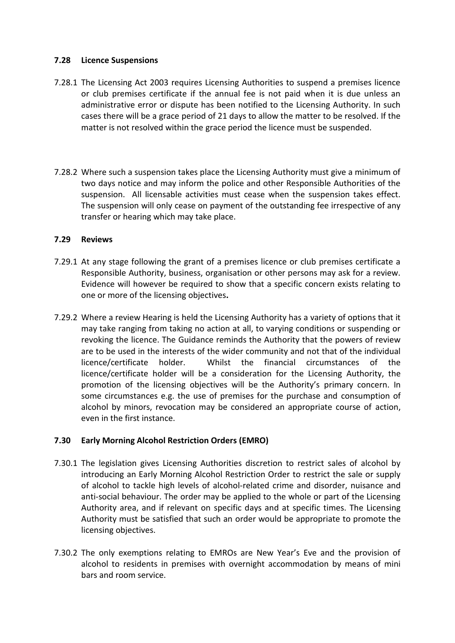### **7.28 Licence Suspensions**

- 7.28.1 The Licensing Act 2003 requires Licensing Authorities to suspend a premises licence or club premises certificate if the annual fee is not paid when it is due unless an administrative error or dispute has been notified to the Licensing Authority. In such cases there will be a grace period of 21 days to allow the matter to be resolved. If the matter is not resolved within the grace period the licence must be suspended.
- 7.28.2 Where such a suspension takes place the Licensing Authority must give a minimum of two days notice and may inform the police and other Responsible Authorities of the suspension. All licensable activities must cease when the suspension takes effect. The suspension will only cease on payment of the outstanding fee irrespective of any transfer or hearing which may take place.

### **7.29 Reviews**

- 7.29.1 At any stage following the grant of a premises licence or club premises certificate a Responsible Authority, business, organisation or other persons may ask for a review. Evidence will however be required to show that a specific concern exists relating to one or more of the licensing objectives**.**
- 7.29.2 Where a review Hearing is held the Licensing Authority has a variety of options that it may take ranging from taking no action at all, to varying conditions or suspending or revoking the licence. The Guidance reminds the Authority that the powers of review are to be used in the interests of the wider community and not that of the individual licence/certificate holder. Whilst the financial circumstances of the licence/certificate holder will be a consideration for the Licensing Authority, the promotion of the licensing objectives will be the Authority's primary concern. In some circumstances e.g. the use of premises for the purchase and consumption of alcohol by minors, revocation may be considered an appropriate course of action, even in the first instance.

# **7.30 Early Morning Alcohol Restriction Orders (EMRO)**

- 7.30.1 The legislation gives Licensing Authorities discretion to restrict sales of alcohol by introducing an Early Morning Alcohol Restriction Order to restrict the sale or supply of alcohol to tackle high levels of alcohol-related crime and disorder, nuisance and anti-social behaviour. The order may be applied to the whole or part of the Licensing Authority area, and if relevant on specific days and at specific times. The Licensing Authority must be satisfied that such an order would be appropriate to promote the licensing objectives.
- 7.30.2 The only exemptions relating to EMROs are New Year's Eve and the provision of alcohol to residents in premises with overnight accommodation by means of mini bars and room service.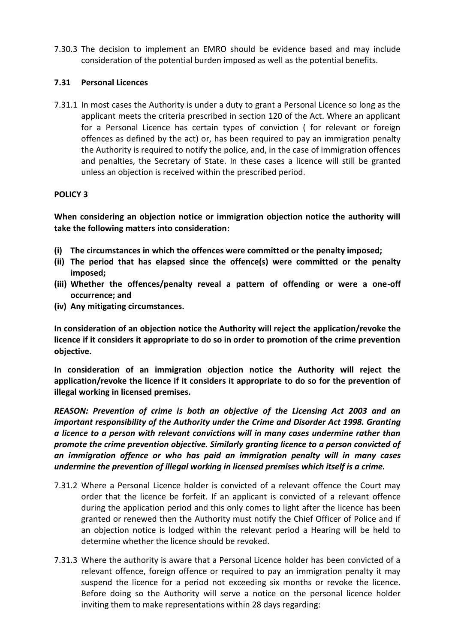7.30.3 The decision to implement an EMRO should be evidence based and may include consideration of the potential burden imposed as well as the potential benefits.

### **7.31 Personal Licences**

7.31.1 In most cases the Authority is under a duty to grant a Personal Licence so long as the applicant meets the criteria prescribed in section 120 of the Act. Where an applicant for a Personal Licence has certain types of conviction ( for relevant or foreign offences as defined by the act) or, has been required to pay an immigration penalty the Authority is required to notify the police, and, in the case of immigration offences and penalties, the Secretary of State. In these cases a licence will still be granted unless an objection is received within the prescribed period.

### **POLICY 3**

**When considering an objection notice or immigration objection notice the authority will take the following matters into consideration:**

- **(i) The circumstances in which the offences were committed or the penalty imposed;**
- **(ii) The period that has elapsed since the offence(s) were committed or the penalty imposed;**
- **(iii) Whether the offences/penalty reveal a pattern of offending or were a one-off occurrence; and**
- **(iv) Any mitigating circumstances.**

**In consideration of an objection notice the Authority will reject the application/revoke the licence if it considers it appropriate to do so in order to promotion of the crime prevention objective.**

**In consideration of an immigration objection notice the Authority will reject the application/revoke the licence if it considers it appropriate to do so for the prevention of illegal working in licensed premises.**

*REASON: Prevention of crime is both an objective of the Licensing Act 2003 and an important responsibility of the Authority under the Crime and Disorder Act 1998. Granting a licence to a person with relevant convictions will in many cases undermine rather than promote the crime prevention objective. Similarly granting licence to a person convicted of an immigration offence or who has paid an immigration penalty will in many cases undermine the prevention of illegal working in licensed premises which itself is a crime.*

- 7.31.2 Where a Personal Licence holder is convicted of a relevant offence the Court may order that the licence be forfeit. If an applicant is convicted of a relevant offence during the application period and this only comes to light after the licence has been granted or renewed then the Authority must notify the Chief Officer of Police and if an objection notice is lodged within the relevant period a Hearing will be held to determine whether the licence should be revoked.
- 7.31.3 Where the authority is aware that a Personal Licence holder has been convicted of a relevant offence, foreign offence or required to pay an immigration penalty it may suspend the licence for a period not exceeding six months or revoke the licence. Before doing so the Authority will serve a notice on the personal licence holder inviting them to make representations within 28 days regarding: